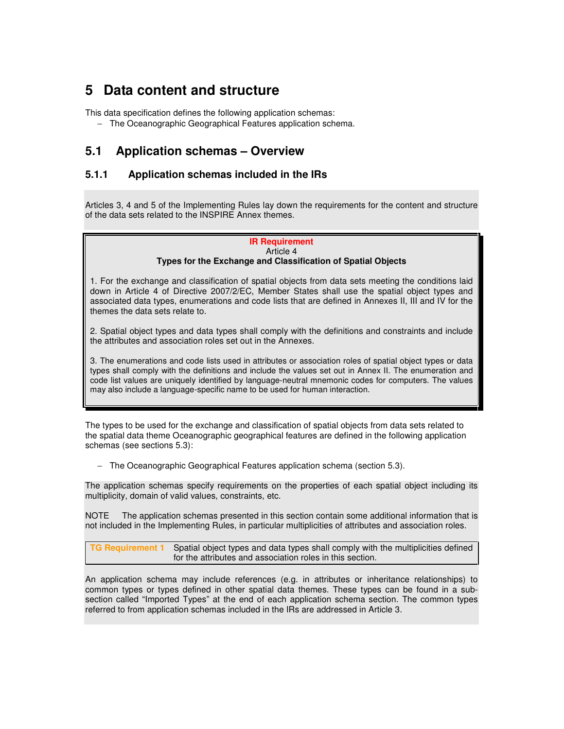# **5 Data content and structure**

This data specification defines the following application schemas:

− The Oceanographic Geographical Features application schema.

# **5.1 Application schemas – Overview**

# **5.1.1 Application schemas included in the IRs**

Articles 3, 4 and 5 of the Implementing Rules lay down the requirements for the content and structure of the data sets related to the INSPIRE Annex themes.

#### **IR Requirement**  Article 4

# **Types for the Exchange and Classification of Spatial Objects**

1. For the exchange and classification of spatial objects from data sets meeting the conditions laid down in Article 4 of Directive 2007/2/EC, Member States shall use the spatial object types and associated data types, enumerations and code lists that are defined in Annexes II, III and IV for the themes the data sets relate to.

2. Spatial object types and data types shall comply with the definitions and constraints and include the attributes and association roles set out in the Annexes.

3. The enumerations and code lists used in attributes or association roles of spatial object types or data types shall comply with the definitions and include the values set out in Annex II. The enumeration and code list values are uniquely identified by language-neutral mnemonic codes for computers. The values may also include a language-specific name to be used for human interaction.

The types to be used for the exchange and classification of spatial objects from data sets related to the spatial data theme Oceanographic geographical features are defined in the following application schemas (see sections 5.3):

− The Oceanographic Geographical Features application schema (section 5.3).

The application schemas specify requirements on the properties of each spatial object including its multiplicity, domain of valid values, constraints, etc.

NOTE The application schemas presented in this section contain some additional information that is not included in the Implementing Rules, in particular multiplicities of attributes and association roles.

**TG Requirement 1** Spatial object types and data types shall comply with the multiplicities defined for the attributes and association roles in this section.

An application schema may include references (e.g. in attributes or inheritance relationships) to common types or types defined in other spatial data themes. These types can be found in a subsection called "Imported Types" at the end of each application schema section. The common types referred to from application schemas included in the IRs are addressed in Article 3.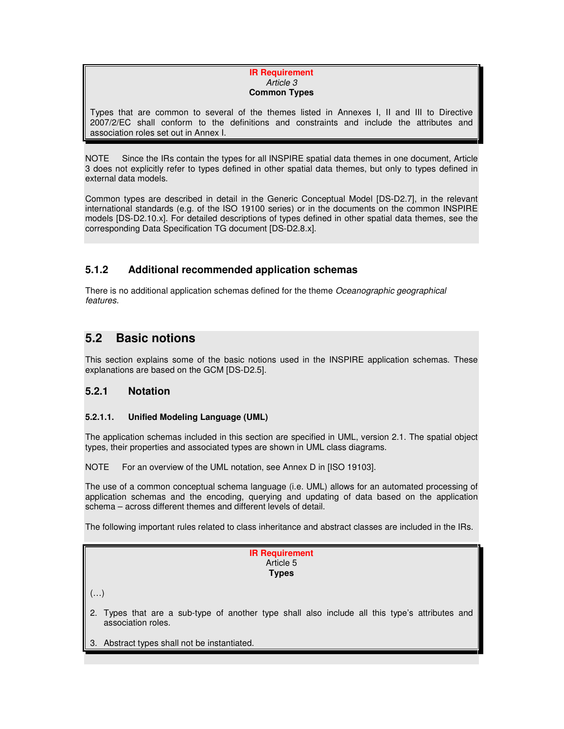#### **IR Requirement**  Article 3 **Common Types**

Types that are common to several of the themes listed in Annexes I, II and III to Directive 2007/2/EC shall conform to the definitions and constraints and include the attributes and association roles set out in Annex I.

NOTE Since the IRs contain the types for all INSPIRE spatial data themes in one document, Article 3 does not explicitly refer to types defined in other spatial data themes, but only to types defined in external data models.

Common types are described in detail in the Generic Conceptual Model [DS-D2.7], in the relevant international standards (e.g. of the ISO 19100 series) or in the documents on the common INSPIRE models [DS-D2.10.x]. For detailed descriptions of types defined in other spatial data themes, see the corresponding Data Specification TG document [DS-D2.8.x].

# **5.1.2 Additional recommended application schemas**

There is no additional application schemas defined for the theme Oceanographic geographical features.

# **5.2 Basic notions**

This section explains some of the basic notions used in the INSPIRE application schemas. These explanations are based on the GCM [DS-D2.5].

# **5.2.1 Notation**

# **5.2.1.1. Unified Modeling Language (UML)**

The application schemas included in this section are specified in UML, version 2.1. The spatial object types, their properties and associated types are shown in UML class diagrams.

NOTE For an overview of the UML notation, see Annex D in [ISO 19103].

The use of a common conceptual schema language (i.e. UML) allows for an automated processing of application schemas and the encoding, querying and updating of data based on the application schema – across different themes and different levels of detail.

The following important rules related to class inheritance and abstract classes are included in the IRs.

|            | <b>IR Requirement</b><br>Article 5<br><b>Types</b>                                                                   |
|------------|----------------------------------------------------------------------------------------------------------------------|
| $(\ldots)$ |                                                                                                                      |
|            | 2. Types that are a sub-type of another type shall also include all this type's attributes and<br>association roles. |
|            | 3. Abstract types shall not be instantiated.                                                                         |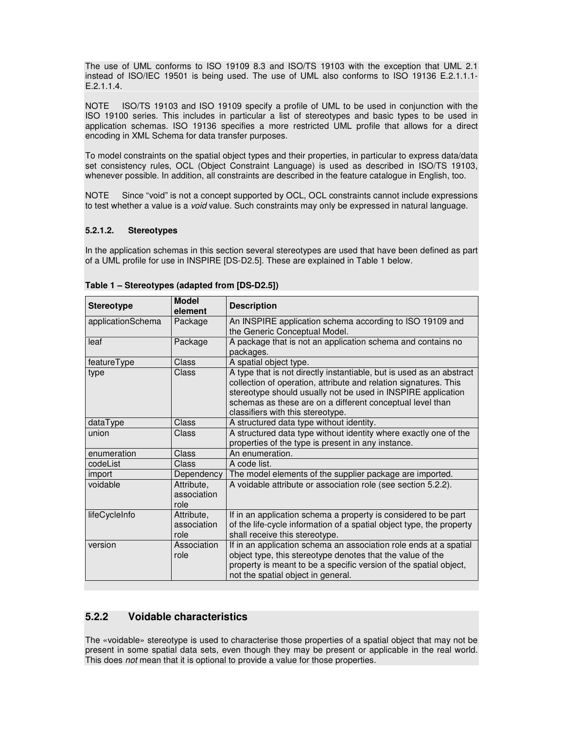The use of UML conforms to ISO 19109 8.3 and ISO/TS 19103 with the exception that UML 2.1 instead of ISO/IEC 19501 is being used. The use of UML also conforms to ISO 19136 E.2.1.1.1- E.2.1.1.4.

NOTE ISO/TS 19103 and ISO 19109 specify a profile of UML to be used in conjunction with the ISO 19100 series. This includes in particular a list of stereotypes and basic types to be used in application schemas. ISO 19136 specifies a more restricted UML profile that allows for a direct encoding in XML Schema for data transfer purposes.

To model constraints on the spatial object types and their properties, in particular to express data/data set consistency rules, OCL (Object Constraint Language) is used as described in ISO/TS 19103, whenever possible. In addition, all constraints are described in the feature catalogue in English, too.

NOTE Since "void" is not a concept supported by OCL, OCL constraints cannot include expressions to test whether a value is a void value. Such constraints may only be expressed in natural language.

### **5.2.1.2. Stereotypes**

In the application schemas in this section several stereotypes are used that have been defined as part of a UML profile for use in INSPIRE [DS-D2.5]. These are explained in Table 1 below.

| <b>Stereotype</b>    | <b>Model</b><br>element           | <b>Description</b>                                                                                                                                                                                                                                                                                         |
|----------------------|-----------------------------------|------------------------------------------------------------------------------------------------------------------------------------------------------------------------------------------------------------------------------------------------------------------------------------------------------------|
| applicationSchema    | Package                           | An INSPIRE application schema according to ISO 19109 and<br>the Generic Conceptual Model.                                                                                                                                                                                                                  |
| leaf                 | Package                           | A package that is not an application schema and contains no<br>packages.                                                                                                                                                                                                                                   |
| featureType          | Class                             | A spatial object type.                                                                                                                                                                                                                                                                                     |
| type                 | Class                             | A type that is not directly instantiable, but is used as an abstract<br>collection of operation, attribute and relation signatures. This<br>stereotype should usually not be used in INSPIRE application<br>schemas as these are on a different conceptual level than<br>classifiers with this stereotype. |
| dataType             | Class                             | A structured data type without identity.                                                                                                                                                                                                                                                                   |
| union                | Class                             | A structured data type without identity where exactly one of the<br>properties of the type is present in any instance.                                                                                                                                                                                     |
| enumeration<br>Class |                                   | An enumeration.                                                                                                                                                                                                                                                                                            |
| codeList<br>Class    |                                   | A code list.                                                                                                                                                                                                                                                                                               |
| import               | Dependency                        | The model elements of the supplier package are imported.                                                                                                                                                                                                                                                   |
| voidable             | Attribute,<br>association<br>role | A voidable attribute or association role (see section 5.2.2).                                                                                                                                                                                                                                              |
| lifeCycleInfo        | Attribute,<br>association<br>role | If in an application schema a property is considered to be part<br>of the life-cycle information of a spatial object type, the property<br>shall receive this stereotype.                                                                                                                                  |
| version              | Association<br>role               | If in an application schema an association role ends at a spatial<br>object type, this stereotype denotes that the value of the<br>property is meant to be a specific version of the spatial object,<br>not the spatial object in general.                                                                 |

**Table 1 – Stereotypes (adapted from [DS-D2.5])** 

# **5.2.2 Voidable characteristics**

The «voidable» stereotype is used to characterise those properties of a spatial object that may not be present in some spatial data sets, even though they may be present or applicable in the real world. This does *not* mean that it is optional to provide a value for those properties.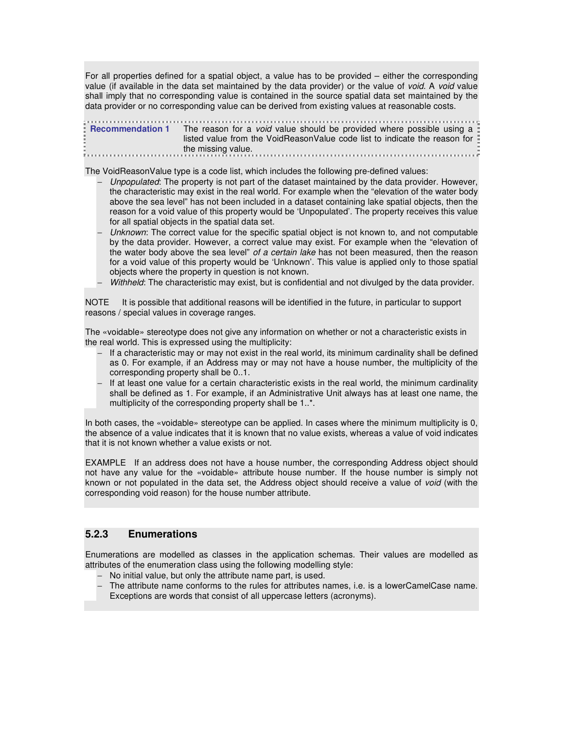For all properties defined for a spatial object, a value has to be provided – either the corresponding value (if available in the data set maintained by the data provider) or the value of void. A void value shall imply that no corresponding value is contained in the source spatial data set maintained by the data provider or no corresponding value can be derived from existing values at reasonable costs.

**Recommendation 1** The reason for a *void* value should be provided where possible using a listed value from the VoidReasonValue code list to indicate the reason for the missing value.

The VoidReasonValue type is a code list, which includes the following pre-defined values:

- Unpopulated: The property is not part of the dataset maintained by the data provider. However, the characteristic may exist in the real world. For example when the "elevation of the water body above the sea level" has not been included in a dataset containing lake spatial objects, then the reason for a void value of this property would be 'Unpopulated'. The property receives this value for all spatial objects in the spatial data set.
- Unknown: The correct value for the specific spatial object is not known to, and not computable by the data provider. However, a correct value may exist. For example when the "elevation of the water body above the sea level" of a certain lake has not been measured, then the reason for a void value of this property would be 'Unknown'. This value is applied only to those spatial objects where the property in question is not known.
- − Withheld: The characteristic may exist, but is confidential and not divulged by the data provider.

NOTE It is possible that additional reasons will be identified in the future, in particular to support reasons / special values in coverage ranges.

The «voidable» stereotype does not give any information on whether or not a characteristic exists in the real world. This is expressed using the multiplicity:

- − If a characteristic may or may not exist in the real world, its minimum cardinality shall be defined as 0. For example, if an Address may or may not have a house number, the multiplicity of the corresponding property shall be 0..1.
- − If at least one value for a certain characteristic exists in the real world, the minimum cardinality shall be defined as 1. For example, if an Administrative Unit always has at least one name, the multiplicity of the corresponding property shall be 1..\*.

In both cases, the «voidable» stereotype can be applied. In cases where the minimum multiplicity is 0, the absence of a value indicates that it is known that no value exists, whereas a value of void indicates that it is not known whether a value exists or not.

EXAMPLE If an address does not have a house number, the corresponding Address object should not have any value for the «voidable» attribute house number. If the house number is simply not known or not populated in the data set, the Address object should receive a value of void (with the corresponding void reason) for the house number attribute.

# **5.2.3 Enumerations**

Enumerations are modelled as classes in the application schemas. Their values are modelled as attributes of the enumeration class using the following modelling style:

- − No initial value, but only the attribute name part, is used.
- − The attribute name conforms to the rules for attributes names, i.e. is a lowerCamelCase name. Exceptions are words that consist of all uppercase letters (acronyms).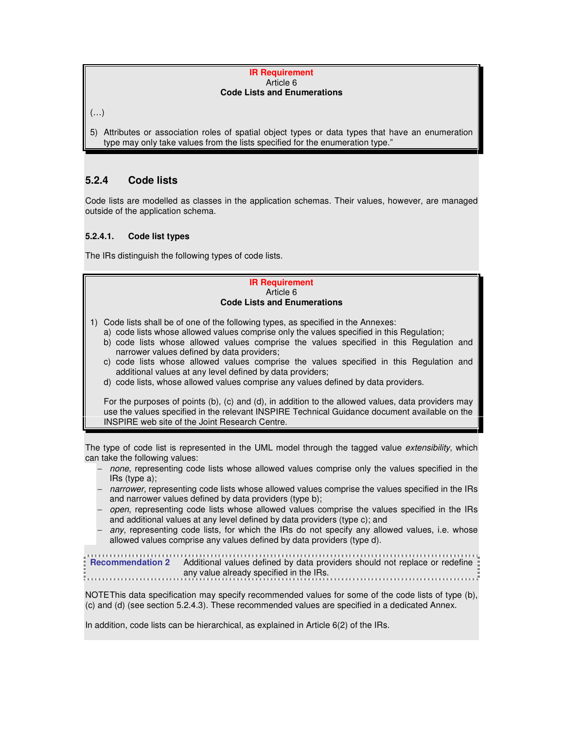#### **IR Requirement**  Article 6 **Code Lists and Enumerations**

 $(\ldots)$ 

5) Attributes or association roles of spatial object types or data types that have an enumeration type may only take values from the lists specified for the enumeration type."

# **5.2.4 Code lists**

Code lists are modelled as classes in the application schemas. Their values, however, are managed outside of the application schema.

# **5.2.4.1. Code list types**

The IRs distinguish the following types of code lists.

#### **IR Requirement**  Article 6 **Code Lists and Enumerations**

- 1) Code lists shall be of one of the following types, as specified in the Annexes:
	- a) code lists whose allowed values comprise only the values specified in this Regulation;
	- b) code lists whose allowed values comprise the values specified in this Regulation and narrower values defined by data providers;
	- c) code lists whose allowed values comprise the values specified in this Regulation and additional values at any level defined by data providers;
	- d) code lists, whose allowed values comprise any values defined by data providers.

 For the purposes of points (b), (c) and (d), in addition to the allowed values, data providers may use the values specified in the relevant INSPIRE Technical Guidance document available on the INSPIRE web site of the Joint Research Centre.

The type of code list is represented in the UML model through the tagged value extensibility, which can take the following values:

- − none, representing code lists whose allowed values comprise only the values specified in the IRs (type a);
- − narrower, representing code lists whose allowed values comprise the values specified in the IRs and narrower values defined by data providers (type b);
- − open, representing code lists whose allowed values comprise the values specified in the IRs and additional values at any level defined by data providers (type c); and
- any, representing code lists, for which the IRs do not specify any allowed values, i.e. whose allowed values comprise any values defined by data providers (type d).

```
Recommendation 2 Additional values defined by data providers should not replace or redefine 
           any value already specified in the IRs.
```
NOTE This data specification may specify recommended values for some of the code lists of type (b), (c) and (d) (see section 5.2.4.3). These recommended values are specified in a dedicated Annex.

In addition, code lists can be hierarchical, as explained in Article 6(2) of the IRs.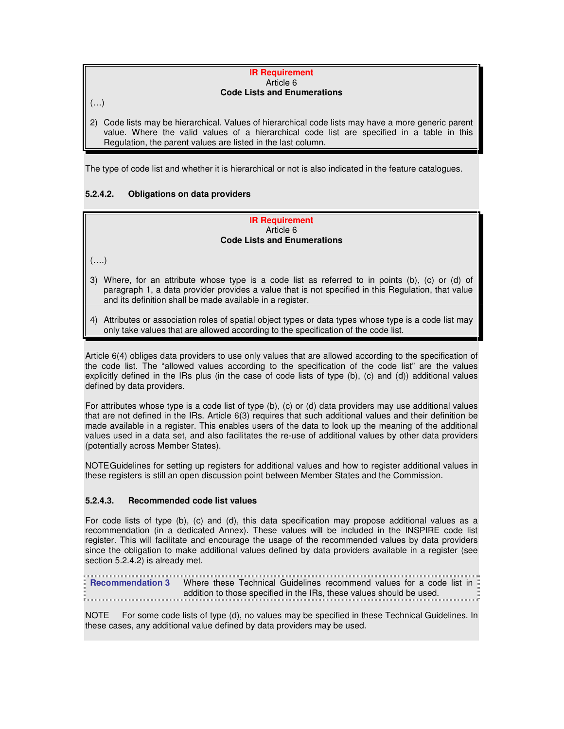#### **IR Requirement**  Article 6 **Code Lists and Enumerations**

 $(\ldots)$ 

2) Code lists may be hierarchical. Values of hierarchical code lists may have a more generic parent value. Where the valid values of a hierarchical code list are specified in a table in this Regulation, the parent values are listed in the last column.

The type of code list and whether it is hierarchical or not is also indicated in the feature catalogues.

# **5.2.4.2. Obligations on data providers**

#### **IR Requirement**  Article 6 **Code Lists and Enumerations**

(….)

- 3) Where, for an attribute whose type is a code list as referred to in points (b), (c) or (d) of paragraph 1, a data provider provides a value that is not specified in this Regulation, that value and its definition shall be made available in a register.
- 4) Attributes or association roles of spatial object types or data types whose type is a code list may only take values that are allowed according to the specification of the code list.

Article 6(4) obliges data providers to use only values that are allowed according to the specification of the code list. The "allowed values according to the specification of the code list" are the values explicitly defined in the IRs plus (in the case of code lists of type (b), (c) and (d)) additional values defined by data providers.

For attributes whose type is a code list of type (b), (c) or (d) data providers may use additional values that are not defined in the IRs. Article 6(3) requires that such additional values and their definition be made available in a register. This enables users of the data to look up the meaning of the additional values used in a data set, and also facilitates the re-use of additional values by other data providers (potentially across Member States).

NOTE Guidelines for setting up registers for additional values and how to register additional values in these registers is still an open discussion point between Member States and the Commission.

# **5.2.4.3. Recommended code list values**

For code lists of type (b), (c) and (d), this data specification may propose additional values as a recommendation (in a dedicated Annex). These values will be included in the INSPIRE code list register. This will facilitate and encourage the usage of the recommended values by data providers since the obligation to make additional values defined by data providers available in a register (see section 5.2.4.2) is already met.

**Recommendation 3** Where these Technical Guidelines recommend values for a code list in addition to those specified in the IRs, these values should be used.

NOTE For some code lists of type (d), no values may be specified in these Technical Guidelines. In these cases, any additional value defined by data providers may be used.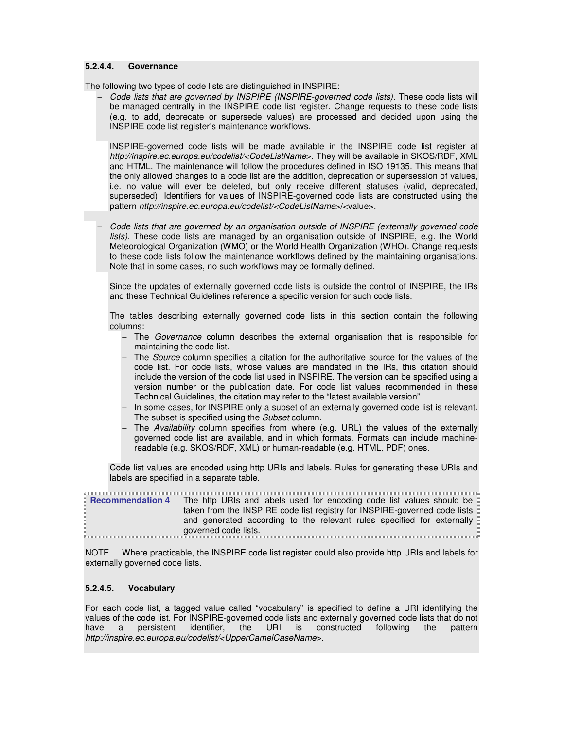#### **5.2.4.4. Governance**

The following two types of code lists are distinguished in INSPIRE:

Code lists that are governed by INSPIRE (INSPIRE-governed code lists). These code lists will be managed centrally in the INSPIRE code list register. Change requests to these code lists (e.g. to add, deprecate or supersede values) are processed and decided upon using the INSPIRE code list register's maintenance workflows.

INSPIRE-governed code lists will be made available in the INSPIRE code list register at http://inspire.ec.europa.eu/codelist/<CodeListName>. They will be available in SKOS/RDF, XML and HTML. The maintenance will follow the procedures defined in ISO 19135. This means that the only allowed changes to a code list are the addition, deprecation or supersession of values, i.e. no value will ever be deleted, but only receive different statuses (valid, deprecated, superseded). Identifiers for values of INSPIRE-governed code lists are constructed using the pattern http://inspire.ec.europa.eu/codelist/<CodeListName>/<value>.

− Code lists that are governed by an organisation outside of INSPIRE (externally governed code lists). These code lists are managed by an organisation outside of INSPIRE, e.g. the World Meteorological Organization (WMO) or the World Health Organization (WHO). Change requests to these code lists follow the maintenance workflows defined by the maintaining organisations. Note that in some cases, no such workflows may be formally defined.

Since the updates of externally governed code lists is outside the control of INSPIRE, the IRs and these Technical Guidelines reference a specific version for such code lists.

The tables describing externally governed code lists in this section contain the following columns:

- − The Governance column describes the external organisation that is responsible for maintaining the code list.
- − The *Source* column specifies a citation for the authoritative source for the values of the code list. For code lists, whose values are mandated in the IRs, this citation should include the version of the code list used in INSPIRE. The version can be specified using a version number or the publication date. For code list values recommended in these Technical Guidelines, the citation may refer to the "latest available version".
- − In some cases, for INSPIRE only a subset of an externally governed code list is relevant. The subset is specified using the Subset column.
- − The Availability column specifies from where (e.g. URL) the values of the externally governed code list are available, and in which formats. Formats can include machinereadable (e.g. SKOS/RDF, XML) or human-readable (e.g. HTML, PDF) ones.

Code list values are encoded using http URIs and labels. Rules for generating these URIs and labels are specified in a separate table.

| : Recommendation 4 The http URIs and labels used for encoding code list values should be : |
|--------------------------------------------------------------------------------------------|
| taken from the INSPIRE code list registry for INSPIRE-governed code lists                  |
| and generated according to the relevant rules specified for externally                     |
| governed code lists.                                                                       |
|                                                                                            |

NOTE Where practicable, the INSPIRE code list register could also provide http URIs and labels for externally governed code lists.

#### **5.2.4.5. Vocabulary**

For each code list, a tagged value called "vocabulary" is specified to define a URI identifying the values of the code list. For INSPIRE-governed code lists and externally governed code lists that do not have a persistent identifier, the URI is constructed following the pattern have a persistent identifier, the URI is constructed following the pattern http://inspire.ec.europa.eu/codelist/<UpperCamelCaseName>.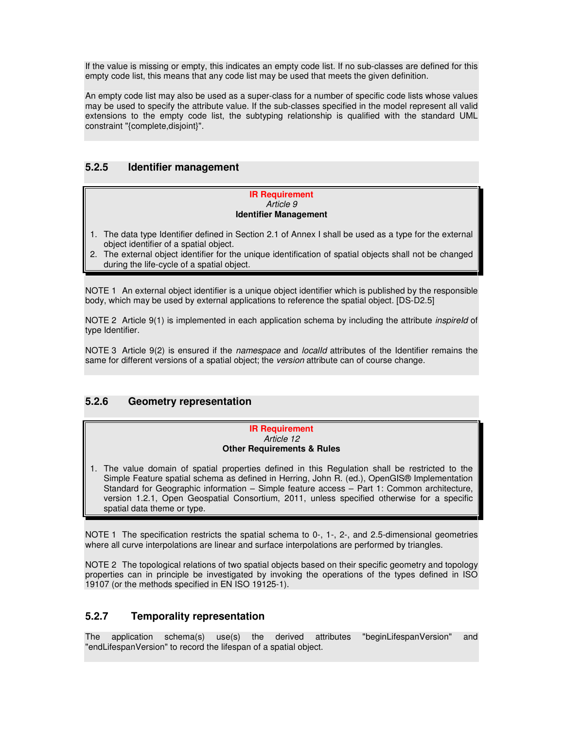If the value is missing or empty, this indicates an empty code list. If no sub-classes are defined for this empty code list, this means that any code list may be used that meets the given definition.

An empty code list may also be used as a super-class for a number of specific code lists whose values may be used to specify the attribute value. If the sub-classes specified in the model represent all valid extensions to the empty code list, the subtyping relationship is qualified with the standard UML constraint "{complete,disjoint}".

# **5.2.5 Identifier management**

#### **IR Requirement**  Article 9 **Identifier Management**

- 1. The data type Identifier defined in Section 2.1 of Annex I shall be used as a type for the external object identifier of a spatial object.
- 2. The external object identifier for the unique identification of spatial objects shall not be changed during the life-cycle of a spatial object.

NOTE 1 An external object identifier is a unique object identifier which is published by the responsible body, which may be used by external applications to reference the spatial object. [DS-D2.5]

NOTE 2 Article 9(1) is implemented in each application schema by including the attribute *inspireld* of type Identifier.

NOTE 3 Article 9(2) is ensured if the namespace and *localld* attributes of the Identifier remains the same for different versions of a spatial object; the version attribute can of course change.

# **5.2.6 Geometry representation**

#### **IR Requirement**  Article 12 **Other Requirements & Rules**

1. The value domain of spatial properties defined in this Regulation shall be restricted to the Simple Feature spatial schema as defined in Herring, John R. (ed.), OpenGIS® Implementation Standard for Geographic information – Simple feature access – Part 1: Common architecture, version 1.2.1, Open Geospatial Consortium, 2011, unless specified otherwise for a specific spatial data theme or type.

NOTE 1 The specification restricts the spatial schema to 0-, 1-, 2-, and 2.5-dimensional geometries where all curve interpolations are linear and surface interpolations are performed by triangles.

NOTE 2 The topological relations of two spatial objects based on their specific geometry and topology properties can in principle be investigated by invoking the operations of the types defined in ISO 19107 (or the methods specified in EN ISO 19125-1).

# **5.2.7 Temporality representation**

The application schema(s) use(s) the derived attributes "beginLifespanVersion" and "endLifespanVersion" to record the lifespan of a spatial object.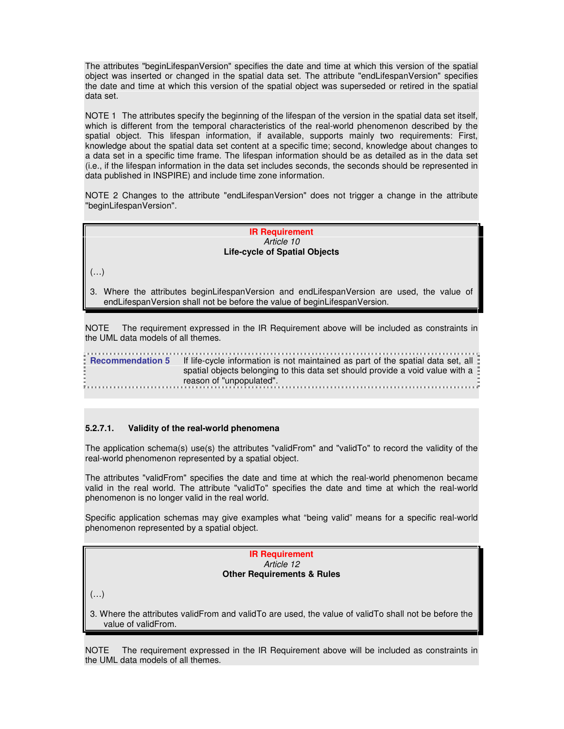The attributes "beginLifespanVersion" specifies the date and time at which this version of the spatial object was inserted or changed in the spatial data set. The attribute "endLifespanVersion" specifies the date and time at which this version of the spatial object was superseded or retired in the spatial data set.

NOTE 1 The attributes specify the beginning of the lifespan of the version in the spatial data set itself, which is different from the temporal characteristics of the real-world phenomenon described by the spatial object. This lifespan information, if available, supports mainly two requirements: First, knowledge about the spatial data set content at a specific time; second, knowledge about changes to a data set in a specific time frame. The lifespan information should be as detailed as in the data set (i.e., if the lifespan information in the data set includes seconds, the seconds should be represented in data published in INSPIRE) and include time zone information.

NOTE 2 Changes to the attribute "endLifespanVersion" does not trigger a change in the attribute "beginLifespanVersion".

#### **IR Requirement**  Article 10 **Life-cycle of Spatial Objects**

 $(\ldots)$ 

3. Where the attributes beginLifespanVersion and endLifespanVersion are used, the value of endLifespanVersion shall not be before the value of beginLifespanVersion.

NOTE The requirement expressed in the IR Requirement above will be included as constraints in the UML data models of all themes.

**Recommendation 5** If life-cycle information is not maintained as part of the spatial data set, all spatial objects belonging to this data set should provide a void value with a reason of "unpopulated".

# **5.2.7.1. Validity of the real-world phenomena**

The application schema(s) use(s) the attributes "validFrom" and "validTo" to record the validity of the real-world phenomenon represented by a spatial object.

The attributes "validFrom" specifies the date and time at which the real-world phenomenon became valid in the real world. The attribute "validTo" specifies the date and time at which the real-world phenomenon is no longer valid in the real world.

Specific application schemas may give examples what "being valid" means for a specific real-world phenomenon represented by a spatial object.

> **IR Requirement**  Article 12 **Other Requirements & Rules**

 $(\ldots)$ 

3. Where the attributes validFrom and validTo are used, the value of validTo shall not be before the value of validFrom.

NOTE The requirement expressed in the IR Requirement above will be included as constraints in the UML data models of all themes.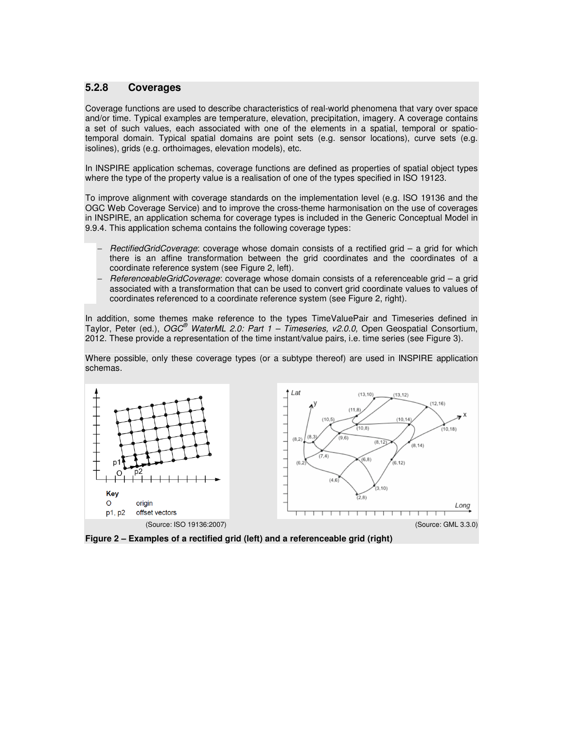# **5.2.8 Coverages**

Coverage functions are used to describe characteristics of real-world phenomena that vary over space and/or time. Typical examples are temperature, elevation, precipitation, imagery. A coverage contains a set of such values, each associated with one of the elements in a spatial, temporal or spatiotemporal domain. Typical spatial domains are point sets (e.g. sensor locations), curve sets (e.g. isolines), grids (e.g. orthoimages, elevation models), etc.

In INSPIRE application schemas, coverage functions are defined as properties of spatial object types where the type of the property value is a realisation of one of the types specified in ISO 19123.

To improve alignment with coverage standards on the implementation level (e.g. ISO 19136 and the OGC Web Coverage Service) and to improve the cross-theme harmonisation on the use of coverages in INSPIRE, an application schema for coverage types is included in the Generic Conceptual Model in 9.9.4. This application schema contains the following coverage types:

- RectifiedGridCoverage: coverage whose domain consists of a rectified grid a grid for which there is an affine transformation between the grid coordinates and the coordinates of a coordinate reference system (see Figure 2, left).
- − ReferenceableGridCoverage: coverage whose domain consists of a referenceable grid a grid associated with a transformation that can be used to convert grid coordinate values to values of coordinates referenced to a coordinate reference system (see Figure 2, right).

In addition, some themes make reference to the types TimeValuePair and Timeseries defined in Taylor, Peter (ed.), OGC<sup>®</sup> WaterML 2.0: Part 1 - Timeseries, v2.0.0, Open Geospatial Consortium, 2012. These provide a representation of the time instant/value pairs, i.e. time series (see Figure 3).

Where possible, only these coverage types (or a subtype thereof) are used in INSPIRE application schemas.



**Figure 2 – Examples of a rectified grid (left) and a referenceable grid (right)**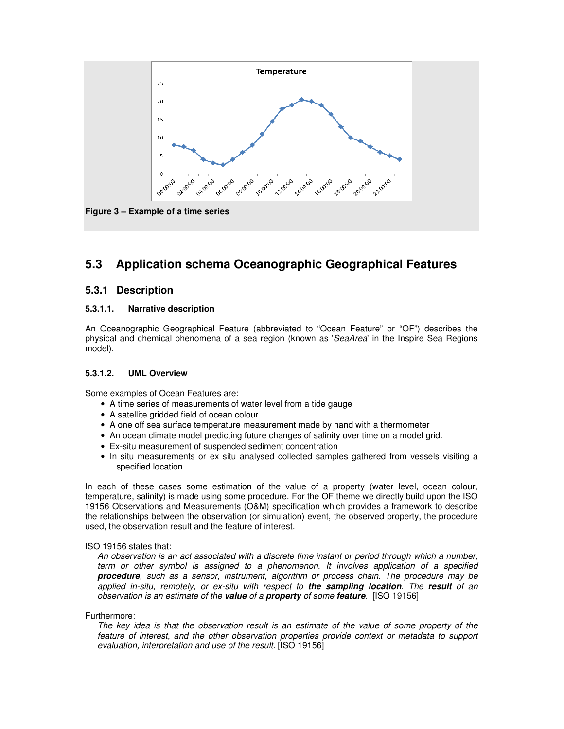

# **5.3 Application schema Oceanographic Geographical Features**

# **5.3.1 Description**

# **5.3.1.1. Narrative description**

An Oceanographic Geographical Feature (abbreviated to "Ocean Feature" or "OF") describes the physical and chemical phenomena of a sea region (known as 'SeaArea' in the Inspire Sea Regions model).

# **5.3.1.2. UML Overview**

Some examples of Ocean Features are:

- A time series of measurements of water level from a tide gauge
- A satellite gridded field of ocean colour
- A one off sea surface temperature measurement made by hand with a thermometer
- An ocean climate model predicting future changes of salinity over time on a model grid.
- Ex-situ measurement of suspended sediment concentration
- In situ measurements or ex situ analysed collected samples gathered from vessels visiting a specified location

In each of these cases some estimation of the value of a property (water level, ocean colour, temperature, salinity) is made using some procedure. For the OF theme we directly build upon the ISO 19156 Observations and Measurements (O&M) specification which provides a framework to describe the relationships between the observation (or simulation) event, the observed property, the procedure used, the observation result and the feature of interest.

#### ISO 19156 states that:

An observation is an act associated with a discrete time instant or period through which a number, term or other symbol is assigned to a phenomenon. It involves application of a specified **procedure**, such as a sensor, instrument, algorithm or process chain. The procedure may be applied in-situ, remotely, or ex-situ with respect to **the sampling location**. The **result** of an observation is an estimate of the **value** of a **property** of some **feature**. [ISO 19156]

Furthermore:

The key idea is that the observation result is an estimate of the value of some property of the feature of interest, and the other observation properties provide context or metadata to support evaluation, interpretation and use of the result. [ISO 19156]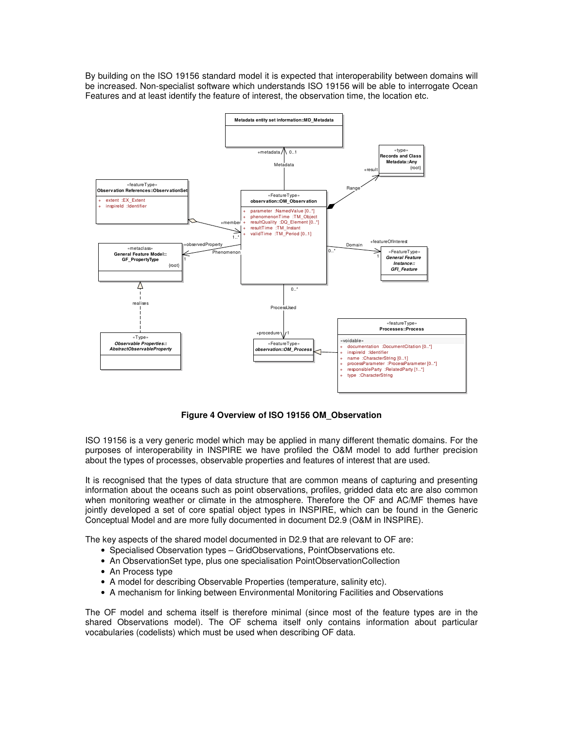By building on the ISO 19156 standard model it is expected that interoperability between domains will be increased. Non-specialist software which understands ISO 19156 will be able to interrogate Ocean Features and at least identify the feature of interest, the observation time, the location etc.



**Figure 4 Overview of ISO 19156 OM\_Observation** 

ISO 19156 is a very generic model which may be applied in many different thematic domains. For the purposes of interoperability in INSPIRE we have profiled the O&M model to add further precision about the types of processes, observable properties and features of interest that are used.

It is recognised that the types of data structure that are common means of capturing and presenting information about the oceans such as point observations, profiles, gridded data etc are also common when monitoring weather or climate in the atmosphere. Therefore the OF and AC/MF themes have jointly developed a set of core spatial object types in INSPIRE, which can be found in the Generic Conceptual Model and are more fully documented in document D2.9 (O&M in INSPIRE).

The key aspects of the shared model documented in D2.9 that are relevant to OF are:

- Specialised Observation types GridObservations, PointObservations etc.
- An ObservationSet type, plus one specialisation PointObservationCollection
- An Process type
- A model for describing Observable Properties (temperature, salinity etc).
- A mechanism for linking between Environmental Monitoring Facilities and Observations

The OF model and schema itself is therefore minimal (since most of the feature types are in the shared Observations model). The OF schema itself only contains information about particular vocabularies (codelists) which must be used when describing OF data.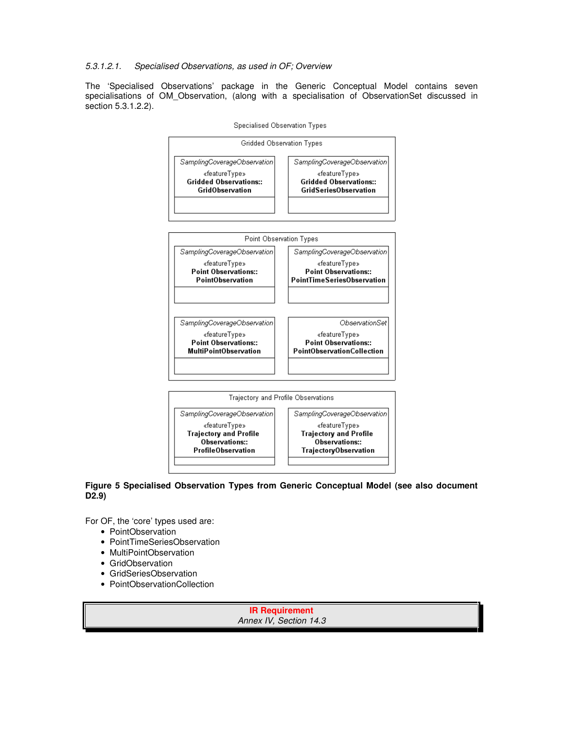# 5.3.1.2.1. Specialised Observations, as used in OF; Overview

The 'Specialised Observations' package in the Generic Conceptual Model contains seven specialisations of OM\_Observation, (along with a specialisation of ObservationSet discussed in section 5.3.1.2.2).



#### **Figure 5 Specialised Observation Types from Generic Conceptual Model (see also document D2.9)**

For OF, the 'core' types used are:

- PointObservation
- PointTimeSeriesObservation
- MultiPointObservation
- GridObservation
- GridSeriesObservation
- PointObservationCollection

**IR Requirement**  Annex IV, Section 14.3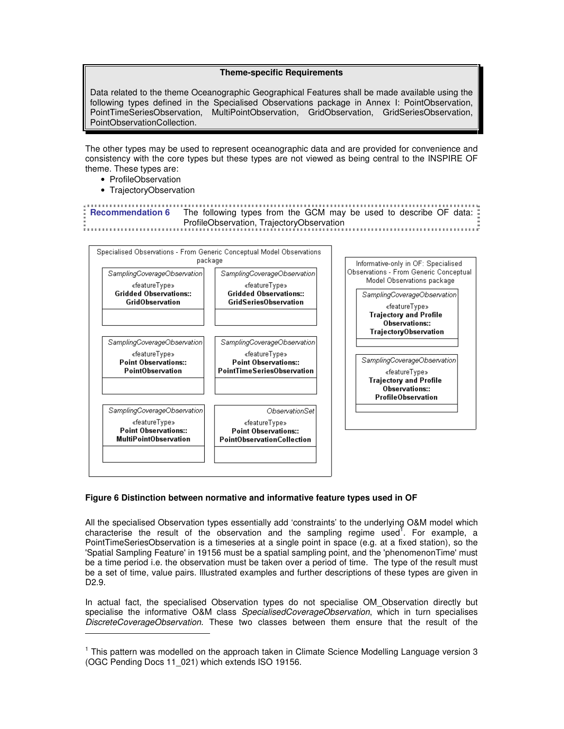#### **Theme-specific Requirements**

Data related to the theme Oceanographic Geographical Features shall be made available using the following types defined in the Specialised Observations package in Annex I: PointObservation, PointTimeSeriesObservation, MultiPointObservation, GridObservation, GridSeriesObservation, PointObservationCollection.

The other types may be used to represent oceanographic data and are provided for convenience and consistency with the core types but these types are not viewed as being central to the INSPIRE OF theme. These types are:

• ProfileObservation

 $\overline{a}$ 

• TrajectoryObservation

| <b>Example 1 Recommendation 6</b> The following types from the GCM may be used to describe OF data: |
|-----------------------------------------------------------------------------------------------------|
| ProfileObservation, TrajectoryObservation                                                           |
|                                                                                                     |



# **Figure 6 Distinction between normative and informative feature types used in OF**

All the specialised Observation types essentially add 'constraints' to the underlying O&M model which characterise the result of the observation and the sampling regime used<sup>T</sup>. For example, a PointTimeSeriesObservation is a timeseries at a single point in space (e.g. at a fixed station), so the 'Spatial Sampling Feature' in 19156 must be a spatial sampling point, and the 'phenomenonTime' must be a time period i.e. the observation must be taken over a period of time. The type of the result must be a set of time, value pairs. Illustrated examples and further descriptions of these types are given in D2.9.

In actual fact, the specialised Observation types do not specialise OM Observation directly but specialise the informative O&M class SpecialisedCoverageObservation, which in turn specialises DiscreteCoverageObservation. These two classes between them ensure that the result of the

<sup>&</sup>lt;sup>1</sup> This pattern was modelled on the approach taken in Climate Science Modelling Language version 3 (OGC Pending Docs 11\_021) which extends ISO 19156.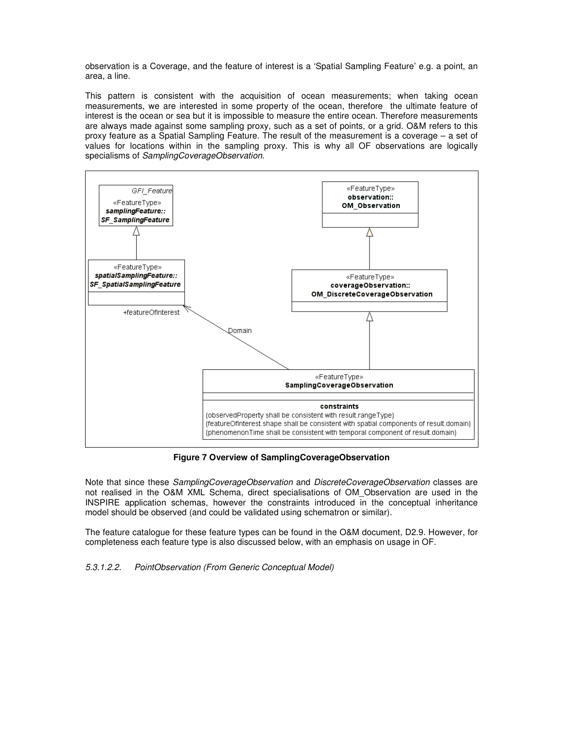observation is a Coverage, and the feature of interest is a 'Spatial Sampling Feature' e.g. a point, an area, a line.

This pattern is consistent with the acquisition of ocean measurements; when taking ocean measurements, we are interested in some property of the ocean, therefore the ultimate feature of interest is the ocean or sea but it is impossible to measure the entire ocean. Therefore measurements are always made against some sampling proxy, such as a set of points, or a grid. O&M refers to this proxy feature as a Spatial Sampling Feature. The result of the measurement is a coverage – a set of values for locations within in the sampling proxy. This is why all OF observations are logically specialisms of SamplingCoverageObservation.



**Figure 7 Overview of SamplingCoverageObservation** 

Note that since these SamplingCoverageObservation and DiscreteCoverageObservation classes are not realised in the O&M XML Schema, direct specialisations of OM\_Observation are used in the INSPIRE application schemas, however the constraints introduced in the conceptual inheritance model should be observed (and could be validated using schematron or similar).

The feature catalogue for these feature types can be found in the O&M document, D2.9. However, for completeness each feature type is also discussed below, with an emphasis on usage in OF.

5.3.1.2.2. PointObservation (From Generic Conceptual Model)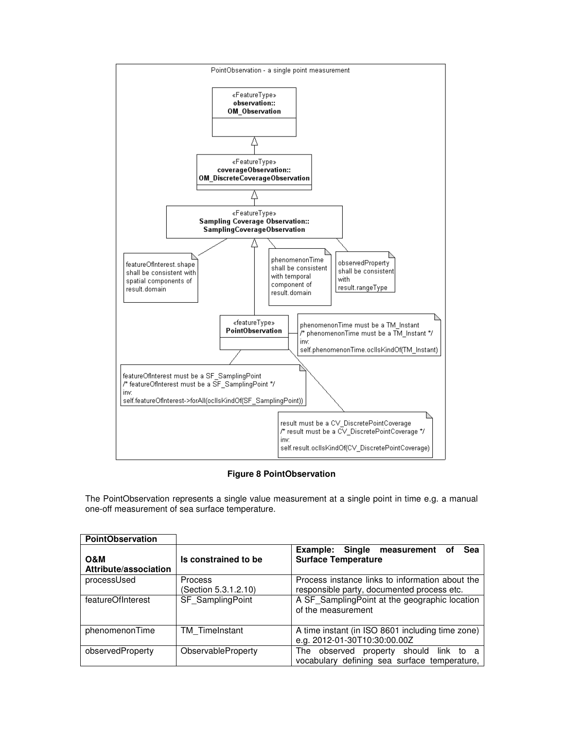

# **Figure 8 PointObservation**

The PointObservation represents a single value measurement at a single point in time e.g. a manual one-off measurement of sea surface temperature.

| <b>PointObservation</b>      |                                        |                                                                                               |
|------------------------------|----------------------------------------|-----------------------------------------------------------------------------------------------|
| O&M<br>Attribute/association | Is constrained to be                   | Example:<br>Single measurement<br><b>Sea</b><br>οf<br><b>Surface Temperature</b>              |
| processUsed                  | <b>Process</b><br>(Section 5.3.1.2.10) | Process instance links to information about the<br>responsible party, documented process etc. |
| featureOfInterest            | SF SamplingPoint                       | A SF SamplingPoint at the geographic location<br>of the measurement                           |
| phenomenonTime               | <b>TM</b> TimeInstant                  | A time instant (in ISO 8601 including time zone)<br>e.g. 2012-01-30T10:30:00.00Z              |
| observedProperty             | ObservableProperty                     | The observed<br>property should<br>link to<br>vocabulary defining sea surface temperature,    |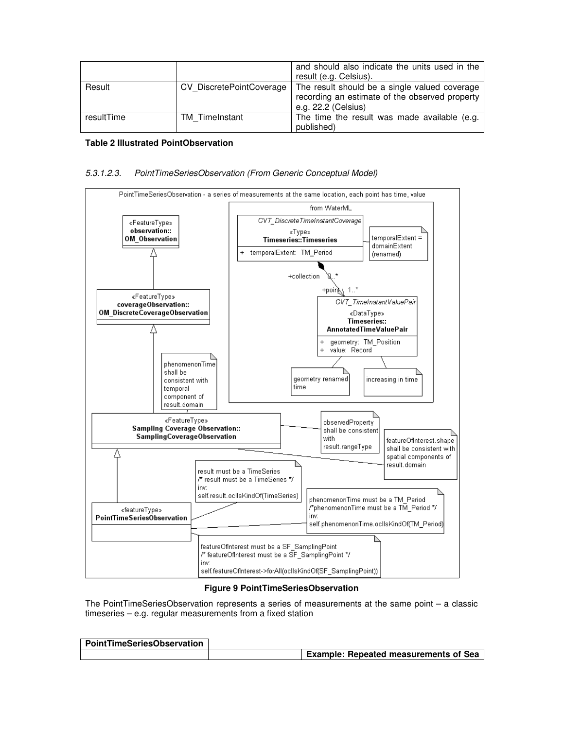|            |                          | and should also indicate the units used in the<br>result (e.g. Celsius).                                               |
|------------|--------------------------|------------------------------------------------------------------------------------------------------------------------|
| Result     | CV DiscretePointCoverage | The result should be a single valued coverage<br>recording an estimate of the observed property<br>e.g. 22.2 (Celsius) |
| resultTime | TM TimeInstant           | The time the result was made available (e.g.<br>published)                                                             |

#### **Table 2 Illustrated PointObservation**

### 5.3.1.2.3. PointTimeSeriesObservation (From Generic Conceptual Model)



#### **Figure 9 PointTimeSeriesObservation**

The PointTimeSeriesObservation represents a series of measurements at the same point – a classic timeseries – e.g. regular measurements from a fixed station

| PointTimeSeriesObservation |                                              |
|----------------------------|----------------------------------------------|
|                            | <b>Example: Repeated measurements of Sea</b> |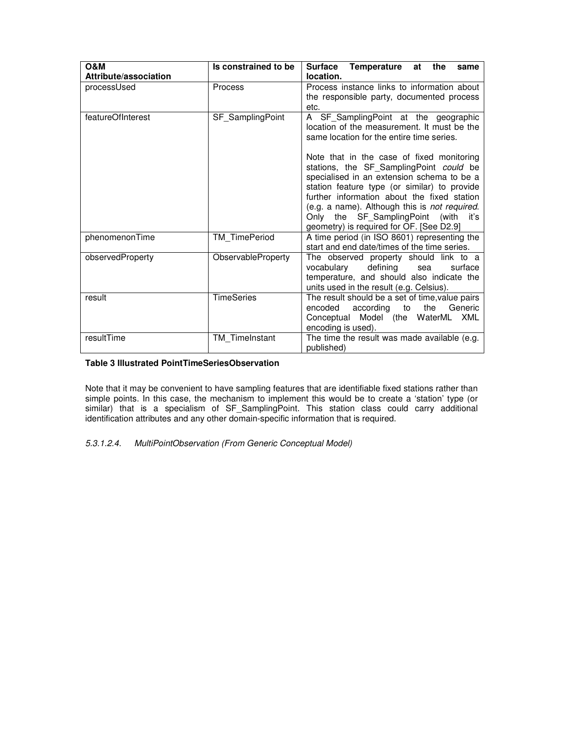| <b>O&amp;M</b><br>Attribute/association | Is constrained to be | Temperature at<br>Surface<br>the<br>same<br>location.                                                                                                                                                                                                                                                                        |
|-----------------------------------------|----------------------|------------------------------------------------------------------------------------------------------------------------------------------------------------------------------------------------------------------------------------------------------------------------------------------------------------------------------|
| processUsed                             | <b>Process</b>       | Process instance links to information about<br>the responsible party, documented process<br>etc.                                                                                                                                                                                                                             |
| featureOfInterest                       | SF SamplingPoint     | A SF_SamplingPoint at the geographic<br>location of the measurement. It must be the<br>same location for the entire time series.<br>Note that in the case of fixed monitoring                                                                                                                                                |
|                                         |                      | stations, the SF_SamplingPoint could be<br>specialised in an extension schema to be a<br>station feature type (or similar) to provide<br>further information about the fixed station<br>(e.g. a name). Although this is not required.<br>Only the SF SamplingPoint (with<br>iťs.<br>geometry) is required for OF. [See D2.9] |
| phenomenonTime                          | TM TimePeriod        | A time period (in ISO 8601) representing the<br>start and end date/times of the time series.                                                                                                                                                                                                                                 |
| observedProperty                        | ObservableProperty   | The observed property should link to a<br>defining<br>vocabulary<br>surface<br>sea<br>temperature, and should also indicate the<br>units used in the result (e.g. Celsius).                                                                                                                                                  |
| result                                  | <b>TimeSeries</b>    | The result should be a set of time, value pairs<br>Generic<br>encoded<br>according<br>the<br>to<br>Conceptual Model (the WaterML<br>XML<br>encoding is used).                                                                                                                                                                |
| resultTime                              | TM TimeInstant       | The time the result was made available (e.g.<br>published)                                                                                                                                                                                                                                                                   |

### **Table 3 Illustrated PointTimeSeriesObservation**

Note that it may be convenient to have sampling features that are identifiable fixed stations rather than simple points. In this case, the mechanism to implement this would be to create a 'station' type (or similar) that is a specialism of SF\_SamplingPoint. This station class could carry additional identification attributes and any other domain-specific information that is required.

# 5.3.1.2.4. MultiPointObservation (From Generic Conceptual Model)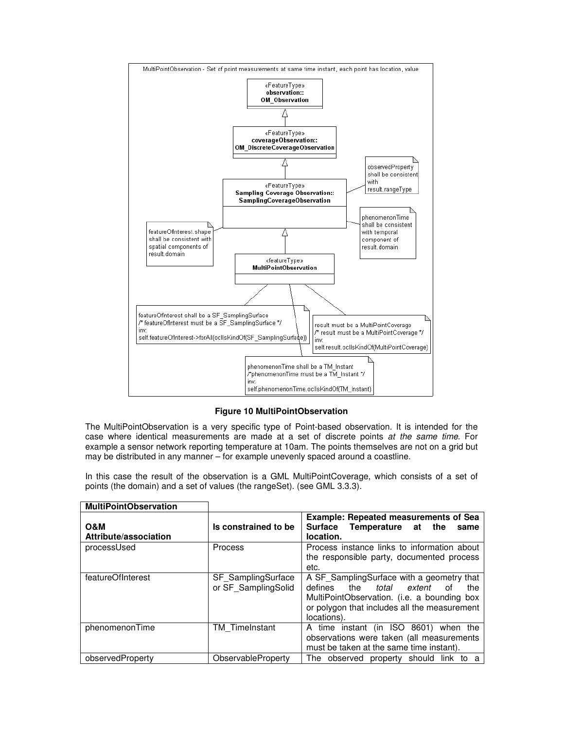

**Figure 10 MultiPointObservation** 

The MultiPointObservation is a very specific type of Point-based observation. It is intended for the case where identical measurements are made at a set of discrete points at the same time. For example a sensor network reporting temperature at 10am. The points themselves are not on a grid but may be distributed in any manner – for example unevenly spaced around a coastline.

In this case the result of the observation is a GML MultiPointCoverage, which consists of a set of points (the domain) and a set of values (the rangeSet). (see GML 3.3.3).

| <b>MultiPointObservation</b> |                                                  |                                                                                                                                                                                                           |
|------------------------------|--------------------------------------------------|-----------------------------------------------------------------------------------------------------------------------------------------------------------------------------------------------------------|
| O&M<br>Attribute/association | Is constrained to be                             | <b>Example: Repeated measurements of Sea</b><br>Surface Temperature<br>the<br>at<br>same<br>location.                                                                                                     |
| processUsed                  | Process                                          | Process instance links to information about<br>the responsible party, documented process<br>etc.                                                                                                          |
| featureOfInterest            | <b>SF</b> SamplingSurface<br>or SF SamplingSolid | A SF SamplingSurface with a geometry that<br>defines<br>the<br>total<br>extent<br>the<br>0t<br>MultiPointObservation. (i.e. a bounding box<br>or polygon that includes all the measurement<br>locations). |
| phenomenonTime               | TM TimeInstant                                   | A time instant (in ISO 8601) when the<br>observations were taken (all measurements<br>must be taken at the same time instant).                                                                            |
| observedProperty             | ObservableProperty                               | The observed property should link to<br>a                                                                                                                                                                 |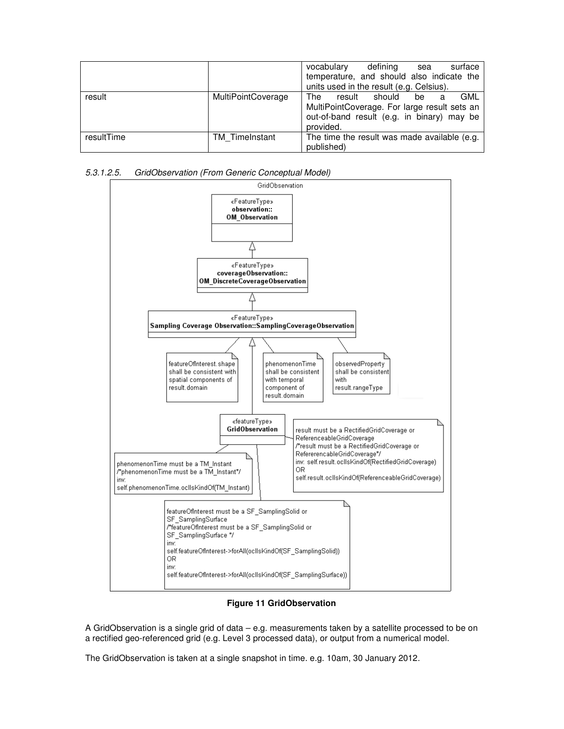|            |                           | defining<br>vocabulary<br>surface<br>sea<br>temperature, and should also indicate the<br>units used in the result (e.g. Celsius).                    |
|------------|---------------------------|------------------------------------------------------------------------------------------------------------------------------------------------------|
| result     | <b>MultiPointCoverage</b> | GML<br>should<br>The<br>result<br>be<br>a<br>MultiPointCoverage. For large result sets an<br>out-of-band result (e.g. in binary) may be<br>provided. |
| resultTime | <b>TM</b> TimeInstant     | The time the result was made available (e.g.<br>published)                                                                                           |

5.3.1.2.5. GridObservation (From Generic Conceptual Model)



**Figure 11 GridObservation** 

A GridObservation is a single grid of data – e.g. measurements taken by a satellite processed to be on a rectified geo-referenced grid (e.g. Level 3 processed data), or output from a numerical model.

The GridObservation is taken at a single snapshot in time. e.g. 10am, 30 January 2012.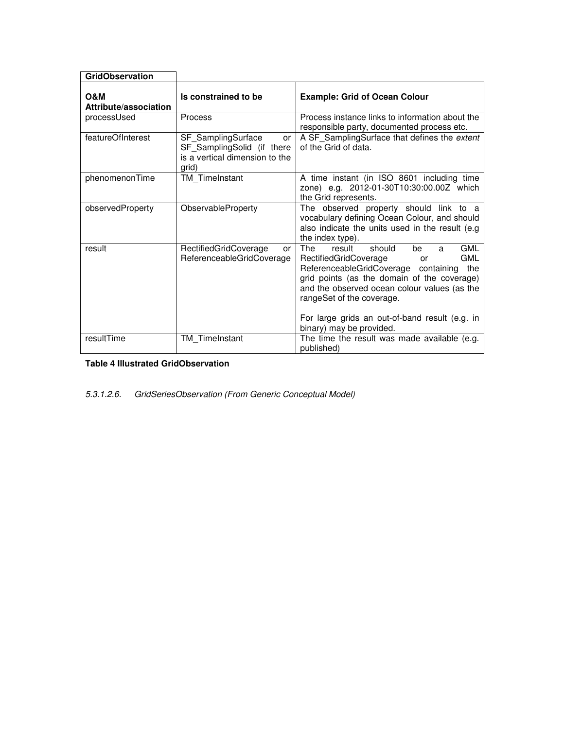| <b>GridObservation</b>                  |                                                                                                          |                                                                                                                                                                                                                                                                                                                                                               |
|-----------------------------------------|----------------------------------------------------------------------------------------------------------|---------------------------------------------------------------------------------------------------------------------------------------------------------------------------------------------------------------------------------------------------------------------------------------------------------------------------------------------------------------|
| <b>O&amp;M</b><br>Attribute/association | Is constrained to be                                                                                     | <b>Example: Grid of Ocean Colour</b>                                                                                                                                                                                                                                                                                                                          |
| processUsed                             | Process                                                                                                  | Process instance links to information about the<br>responsible party, documented process etc.                                                                                                                                                                                                                                                                 |
| featureOfInterest                       | SF SamplingSurface<br><b>or</b><br>SF SamplingSolid (if there<br>is a vertical dimension to the<br>arid) | A SF SamplingSurface that defines the extent<br>of the Grid of data.                                                                                                                                                                                                                                                                                          |
| phenomenonTime                          | TM TimeInstant                                                                                           | A time instant (in ISO 8601 including time<br>zone) e.g. 2012-01-30T10:30:00.00Z which<br>the Grid represents.                                                                                                                                                                                                                                                |
| observedProperty                        | ObservableProperty                                                                                       | The observed property should link to a<br>vocabulary defining Ocean Colour, and should<br>also indicate the units used in the result (e.g.<br>the index type).                                                                                                                                                                                                |
| result                                  | RectifiedGridCoverage<br>or<br>ReferenceableGridCoverage                                                 | <b>The</b><br><b>GML</b><br>should<br>result<br>be<br>a<br><b>GML</b><br>RectifiedGridCoverage<br>or<br>ReferenceableGridCoverage containing<br>the<br>grid points (as the domain of the coverage)<br>and the observed ocean colour values (as the<br>rangeSet of the coverage.<br>For large grids an out-of-band result (e.g. in<br>binary) may be provided. |
| resultTime                              | <b>TM</b> TimeInstant                                                                                    | The time the result was made available (e.g.<br>published)                                                                                                                                                                                                                                                                                                    |

**Table 4 Illustrated GridObservation** 

5.3.1.2.6. GridSeriesObservation (From Generic Conceptual Model)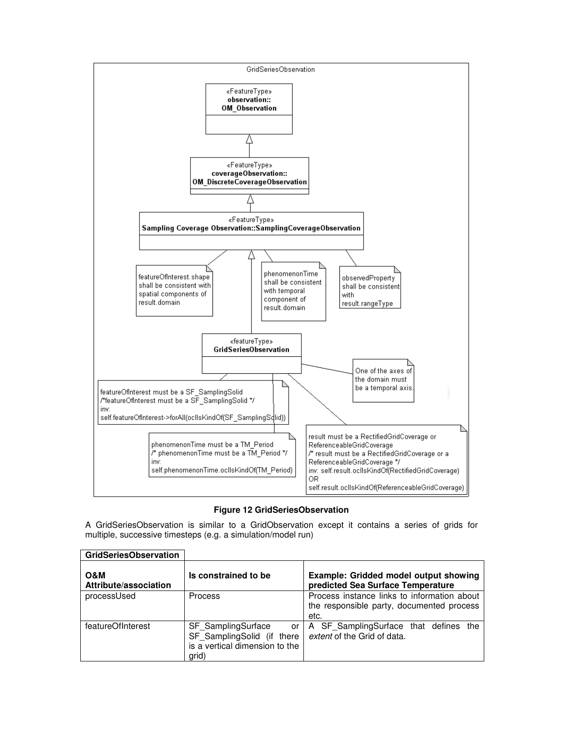



A GridSeriesObservation is similar to a GridObservation except it contains a series of grids for multiple, successive timesteps (e.g. a simulation/model run)

| <b>GridSeriesObservation</b> |                                                                                                   |                                                                                                  |
|------------------------------|---------------------------------------------------------------------------------------------------|--------------------------------------------------------------------------------------------------|
| O&M<br>Attribute/association | Is constrained to be                                                                              | Example: Gridded model output showing<br>predicted Sea Surface Temperature                       |
| processUsed                  | <b>Process</b>                                                                                    | Process instance links to information about<br>the responsible party, documented process<br>etc. |
| featureOfInterest            | SF SamplingSurface<br>or<br>SF SamplingSolid (if there<br>is a vertical dimension to the<br>grid) | A SF SamplingSurface that defines the<br>extent of the Grid of data.                             |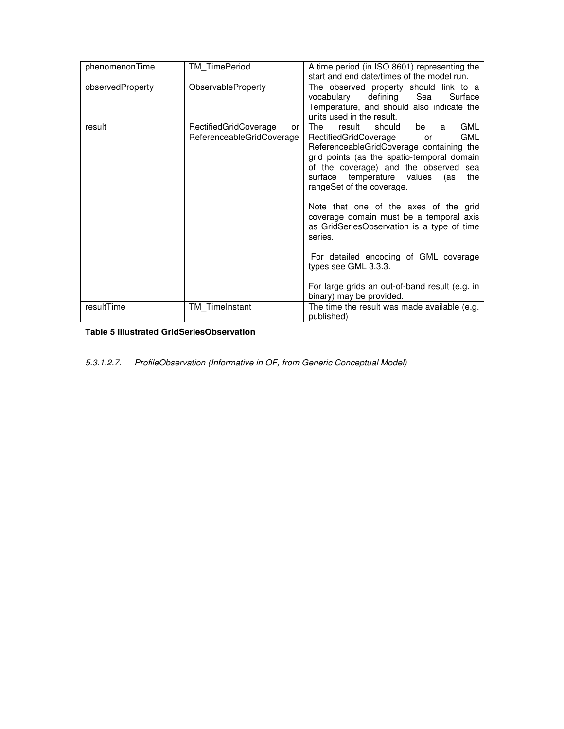| phenomenonTime   | <b>TM TimePeriod</b>                                     | A time period (in ISO 8601) representing the<br>start and end date/times of the model run.                                                                                                                                                                                                                                                                                                |
|------------------|----------------------------------------------------------|-------------------------------------------------------------------------------------------------------------------------------------------------------------------------------------------------------------------------------------------------------------------------------------------------------------------------------------------------------------------------------------------|
| observedProperty | ObservableProperty                                       | The observed property should link to a<br>defining<br>vocabulary<br>Sea<br>Surface<br>Temperature, and should also indicate the<br>units used in the result.                                                                                                                                                                                                                              |
| result           | RectifiedGridCoverage<br>or<br>ReferenceableGridCoverage | <b>GML</b><br>The<br>result<br>should<br>be<br>a<br>GML<br>RectifiedGridCoverage<br>or<br>ReferenceableGridCoverage containing the<br>grid points (as the spatio-temporal domain<br>of the coverage) and the observed sea<br>temperature values<br>surface<br>(as<br>the<br>rangeSet of the coverage.<br>Note that one of the axes of the grid<br>coverage domain must be a temporal axis |
|                  |                                                          | as GridSeriesObservation is a type of time<br>series.                                                                                                                                                                                                                                                                                                                                     |
|                  |                                                          | For detailed encoding of GML coverage<br>types see GML 3.3.3.                                                                                                                                                                                                                                                                                                                             |
|                  |                                                          | For large grids an out-of-band result (e.g. in<br>binary) may be provided.                                                                                                                                                                                                                                                                                                                |
| resultTime       | TM TimeInstant                                           | The time the result was made available (e.g.<br>published)                                                                                                                                                                                                                                                                                                                                |

**Table 5 Illustrated GridSeriesObservation** 

5.3.1.2.7. ProfileObservation (Informative in OF, from Generic Conceptual Model)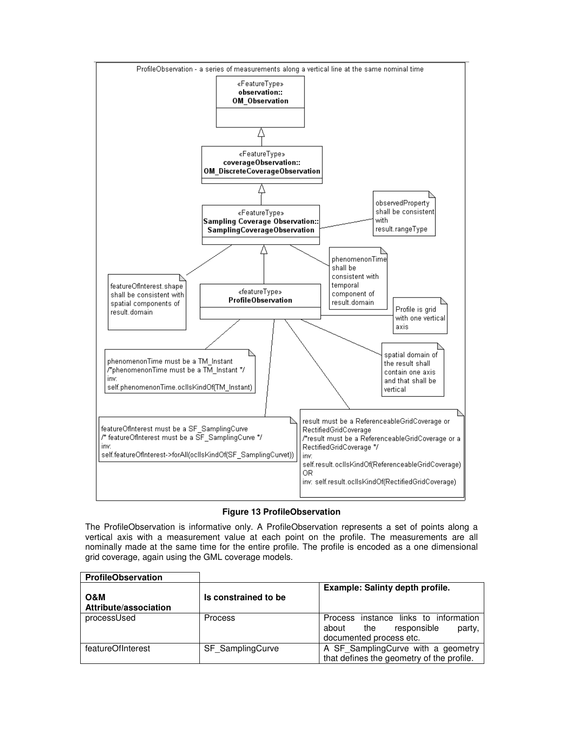

# **Figure 13 ProfileObservation**

The ProfileObservation is informative only. A ProfileObservation represents a set of points along a vertical axis with a measurement value at each point on the profile. The measurements are all nominally made at the same time for the entire profile. The profile is encoded as a one dimensional grid coverage, again using the GML coverage models.

| <b>ProfileObservation</b>    |                      |                                                                                                           |
|------------------------------|----------------------|-----------------------------------------------------------------------------------------------------------|
| O&M<br>Attribute/association | Is constrained to be | Example: Salinty depth profile.                                                                           |
| processUsed                  | <b>Process</b>       | Process instance links to information<br>responsible<br>about<br>the<br>party,<br>documented process etc. |
| featureOfInterest            | SF SamplingCurve     | A SF SamplingCurve with a geometry<br>that defines the geometry of the profile.                           |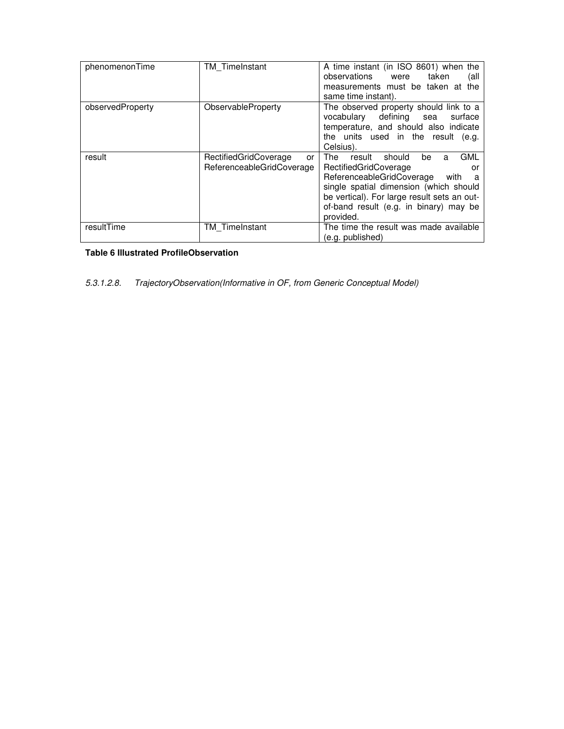| phenomenonTime   | TM_TimeInstant                                           | A time instant (in ISO 8601) when the<br>observations<br>taken<br>were<br>(all<br>measurements must be taken at the<br>same time instant).                                                                                                                             |
|------------------|----------------------------------------------------------|------------------------------------------------------------------------------------------------------------------------------------------------------------------------------------------------------------------------------------------------------------------------|
| observedProperty | ObservableProperty                                       | The observed property should link to a<br>vocabulary defining<br>surface<br>sea<br>temperature, and should also indicate<br>the units used in the result (e.g.<br>Celsius).                                                                                            |
| result           | RectifiedGridCoverage<br>or<br>ReferenceableGridCoverage | <b>GML</b><br>should<br>be<br>The<br>result<br>a<br>RectifiedGridCoverage<br>or<br>ReferenceableGridCoverage<br>with a<br>single spatial dimension (which should<br>be vertical). For large result sets an out-<br>of-band result (e.g. in binary) may be<br>provided. |
| resultTime       | <b>TM</b> TimeInstant                                    | The time the result was made available<br>(e.g. published)                                                                                                                                                                                                             |

# **Table 6 Illustrated ProfileObservation**

5.3.1.2.8. TrajectoryObservation(Informative in OF, from Generic Conceptual Model)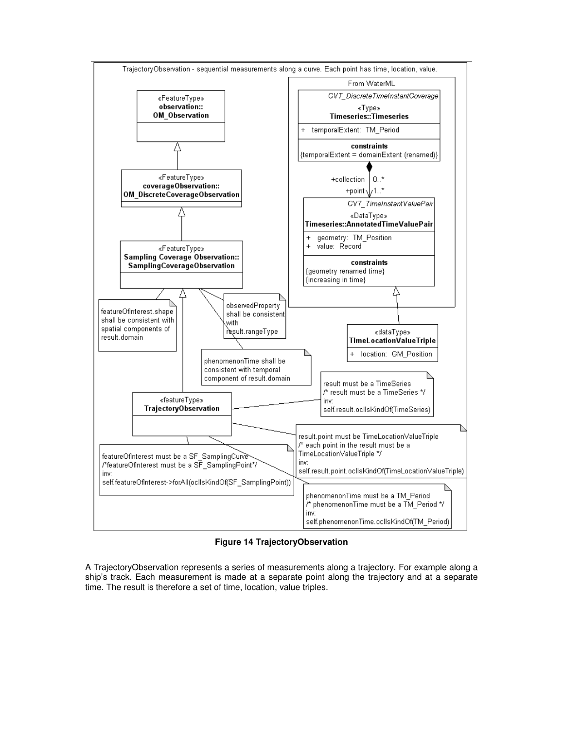

**Figure 14 TrajectoryObservation** 

A TrajectoryObservation represents a series of measurements along a trajectory. For example along a ship's track. Each measurement is made at a separate point along the trajectory and at a separate time. The result is therefore a set of time, location, value triples.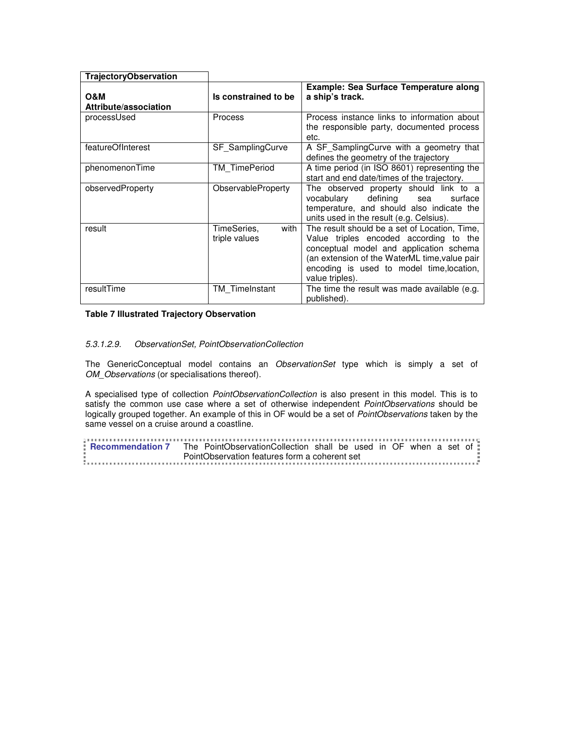| <b>TrajectoryObservation</b> |                                      |                                                                                                                                                                                                                                                     |
|------------------------------|--------------------------------------|-----------------------------------------------------------------------------------------------------------------------------------------------------------------------------------------------------------------------------------------------------|
| O&M<br>Attribute/association | Is constrained to be                 | Example: Sea Surface Temperature along<br>a ship's track.                                                                                                                                                                                           |
| processUsed                  | <b>Process</b>                       | Process instance links to information about<br>the responsible party, documented process<br>etc.                                                                                                                                                    |
| featureOfInterest            | SF SamplingCurve                     | A SF SamplingCurve with a geometry that<br>defines the geometry of the trajectory                                                                                                                                                                   |
| phenomenonTime               | TM TimePeriod                        | A time period (in ISO 8601) representing the<br>start and end date/times of the trajectory.                                                                                                                                                         |
| observedProperty             | ObservableProperty                   | The observed property should link to a<br>defining<br>vocabulary<br>surface<br>sea<br>temperature, and should also indicate the<br>units used in the result (e.g. Celsius).                                                                         |
| result                       | with<br>TimeSeries,<br>triple values | The result should be a set of Location, Time,<br>Value triples encoded according to the<br>conceptual model and application schema<br>(an extension of the WaterML time, value pair<br>encoding is used to model time, location,<br>value triples). |
| resultTime                   | TM TimeInstant                       | The time the result was made available (e.g.<br>published).                                                                                                                                                                                         |

# **Table 7 Illustrated Trajectory Observation**

# 5.3.1.2.9. ObservationSet, PointObservationCollection

The GenericConceptual model contains an ObservationSet type which is simply a set of OM Observations (or specialisations thereof).

A specialised type of collection PointObservationCollection is also present in this model. This is to satisfy the common use case where a set of otherwise independent PointObservations should be logically grouped together. An example of this in OF would be a set of PointObservations taken by the same vessel on a cruise around a coastline.

|    | $\frac{1}{2} \frac{1}{2} \frac{1}{2} \frac{1}{2} \frac{1}{2} \frac{1}{2} \frac{1}{2} \frac{1}{2} \frac{1}{2} \frac{1}{2} \frac{1}{2} \frac{1}{2} \frac{1}{2} \frac{1}{2} \frac{1}{2} \frac{1}{2} \frac{1}{2} \frac{1}{2} \frac{1}{2} \frac{1}{2} \frac{1}{2} \frac{1}{2} \frac{1}{2} \frac{1}{2} \frac{1}{2} \frac{1}{2} \frac{1}{2} \frac{1}{2} \frac{1}{2} \frac{1}{2} \frac{1}{2} \frac{$ |  |                                               |  |  |  |  |  |
|----|----------------------------------------------------------------------------------------------------------------------------------------------------------------------------------------------------------------------------------------------------------------------------------------------------------------------------------------------------------------------------------------------|--|-----------------------------------------------|--|--|--|--|--|
|    | <b>Recommendation 7</b> The PointObservationCollection shall be used in OF when a set of                                                                                                                                                                                                                                                                                                     |  |                                               |  |  |  |  |  |
|    |                                                                                                                                                                                                                                                                                                                                                                                              |  |                                               |  |  |  |  |  |
| ш. |                                                                                                                                                                                                                                                                                                                                                                                              |  | PointObservation features form a coherent set |  |  |  |  |  |
|    |                                                                                                                                                                                                                                                                                                                                                                                              |  |                                               |  |  |  |  |  |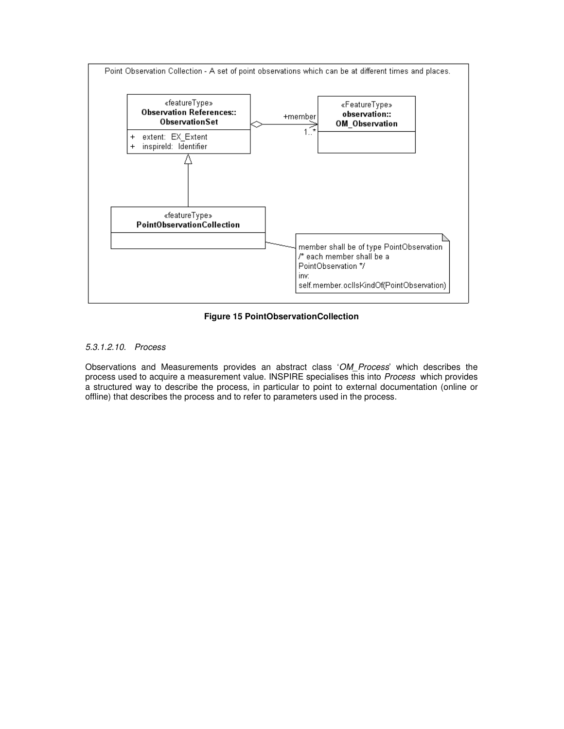

**Figure 15 PointObservationCollection** 

# 5.3.1.2.10. Process

Observations and Measurements provides an abstract class 'OM Process' which describes the process used to acquire a measurement value. INSPIRE specialises this into Process which provides a structured way to describe the process, in particular to point to external documentation (online or offline) that describes the process and to refer to parameters used in the process.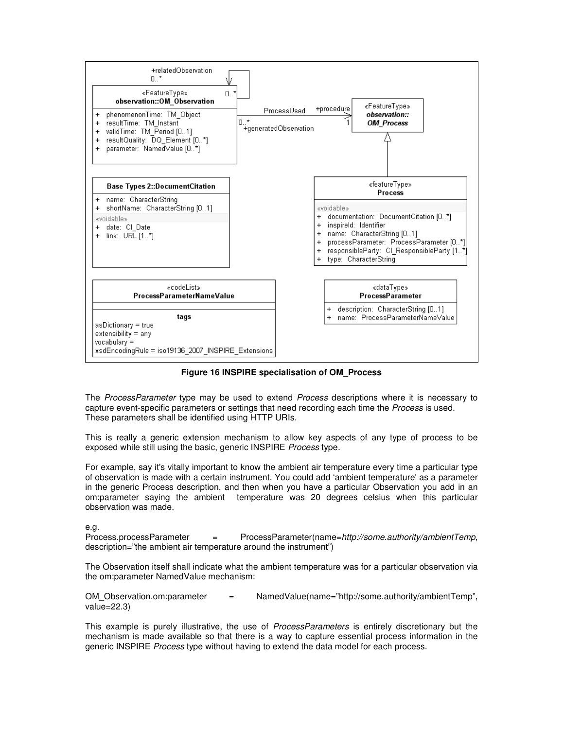

# **Figure 16 INSPIRE specialisation of OM\_Process**

The ProcessParameter type may be used to extend Process descriptions where it is necessary to capture event-specific parameters or settings that need recording each time the Process is used. These parameters shall be identified using HTTP URIs.

This is really a generic extension mechanism to allow key aspects of any type of process to be exposed while still using the basic, generic INSPIRE *Process* type.

For example, say it's vitally important to know the ambient air temperature every time a particular type of observation is made with a certain instrument. You could add 'ambient temperature' as a parameter in the generic Process description, and then when you have a particular Observation you add in an om:parameter saying the ambient temperature was 20 degrees celsius when this particular observation was made.

e.g.

Process.processParameter = ProcessParameter(name=http://some.authority/ambientTemp, description="the ambient air temperature around the instrument")

The Observation itself shall indicate what the ambient temperature was for a particular observation via the om:parameter NamedValue mechanism:

OM\_Observation.om:parameter = NamedValue(name="http://some.authority/ambientTemp", value=22.3)

This example is purely illustrative, the use of *ProcessParameters* is entirely discretionary but the mechanism is made available so that there is a way to capture essential process information in the generic INSPIRE Process type without having to extend the data model for each process.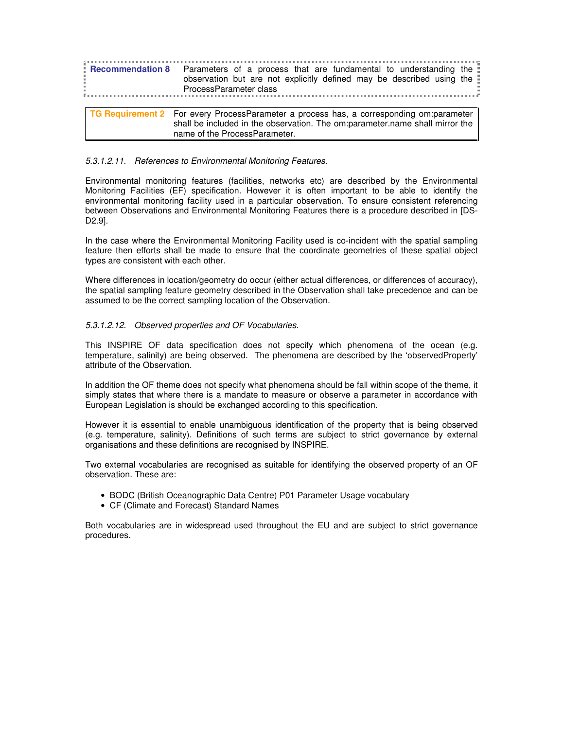|  | <b>Recommendation 8</b> Parameters of a process that are fundamental to understanding the<br>observation but are not explicitly defined may be described using the<br>$\vdots$ ProcessParameter class |
|--|-------------------------------------------------------------------------------------------------------------------------------------------------------------------------------------------------------|
|  |                                                                                                                                                                                                       |
|  | TG Requirement 2 For every ProcessParameter a process has, a corresponding om:parameter<br>shall be included in the observation. The om:parameter.name shall mirror the                               |

name of the ProcessParameter.

#### 5.3.1.2.11. References to Environmental Monitoring Features.

Environmental monitoring features (facilities, networks etc) are described by the Environmental Monitoring Facilities (EF) specification. However it is often important to be able to identify the environmental monitoring facility used in a particular observation. To ensure consistent referencing between Observations and Environmental Monitoring Features there is a procedure described in [DS-D2.9].

In the case where the Environmental Monitoring Facility used is co-incident with the spatial sampling feature then efforts shall be made to ensure that the coordinate geometries of these spatial object types are consistent with each other.

Where differences in location/geometry do occur (either actual differences, or differences of accuracy), the spatial sampling feature geometry described in the Observation shall take precedence and can be assumed to be the correct sampling location of the Observation.

#### 5.3.1.2.12. Observed properties and OF Vocabularies.

This INSPIRE OF data specification does not specify which phenomena of the ocean (e.g. temperature, salinity) are being observed. The phenomena are described by the 'observedProperty' attribute of the Observation.

In addition the OF theme does not specify what phenomena should be fall within scope of the theme, it simply states that where there is a mandate to measure or observe a parameter in accordance with European Legislation is should be exchanged according to this specification.

However it is essential to enable unambiguous identification of the property that is being observed (e.g. temperature, salinity). Definitions of such terms are subject to strict governance by external organisations and these definitions are recognised by INSPIRE.

Two external vocabularies are recognised as suitable for identifying the observed property of an OF observation. These are:

- BODC (British Oceanographic Data Centre) P01 Parameter Usage vocabulary
- CF (Climate and Forecast) Standard Names

Both vocabularies are in widespread used throughout the EU and are subject to strict governance procedures.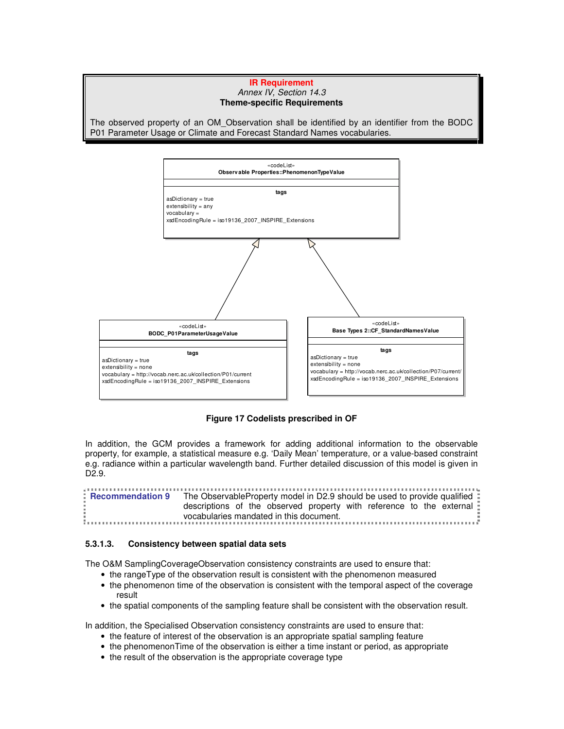#### **IR Requirement**  Annex IV, Section 14.3 **Theme-specific Requirements**

The observed property of an OM\_Observation shall be identified by an identifier from the BODC P01 Parameter Usage or Climate and Forecast Standard Names vocabularies.



**Figure 17 Codelists prescribed in OF** 

In addition, the GCM provides a framework for adding additional information to the observable property, for example, a statistical measure e.g. 'Daily Mean' temperature, or a value-based constraint e.g. radiance within a particular wavelength band. Further detailed discussion of this model is given in D2.9.

**Recommendation 9** The ObservableProperty model in D2.9 should be used to provide qualified : descriptions of the observed property with reference to the external vocabularies mandated in this document.

# **5.3.1.3. Consistency between spatial data sets**

The O&M SamplingCoverageObservation consistency constraints are used to ensure that:

- the rangeType of the observation result is consistent with the phenomenon measured
- the phenomenon time of the observation is consistent with the temporal aspect of the coverage result
- the spatial components of the sampling feature shall be consistent with the observation result.

In addition, the Specialised Observation consistency constraints are used to ensure that:

- the feature of interest of the observation is an appropriate spatial sampling feature
- the phenomenonTime of the observation is either a time instant or period, as appropriate
- the result of the observation is the appropriate coverage type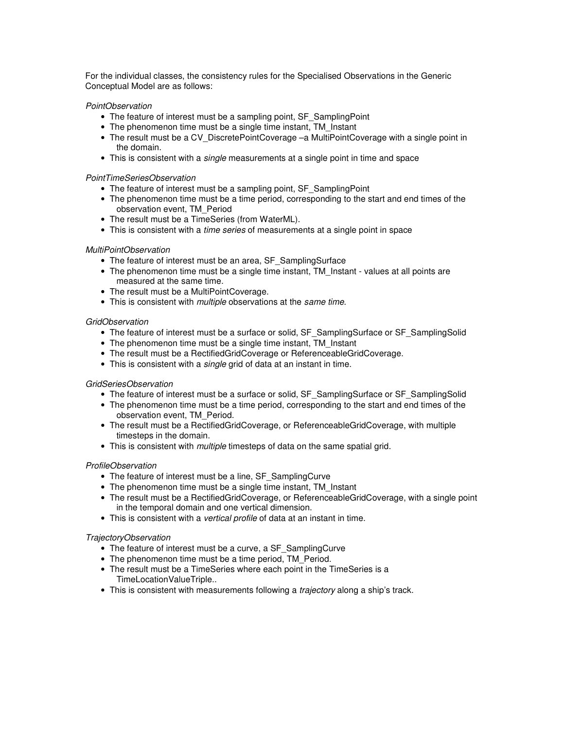For the individual classes, the consistency rules for the Specialised Observations in the Generic Conceptual Model are as follows:

#### PointObservation

- The feature of interest must be a sampling point, SF\_SamplingPoint
- The phenomenon time must be a single time instant, TM\_Instant
- The result must be a CV\_DiscretePointCoverage –a MultiPointCoverage with a single point in the domain.
- This is consistent with a *single* measurements at a single point in time and space

#### PointTimeSeriesObservation

- The feature of interest must be a sampling point, SF\_SamplingPoint
- The phenomenon time must be a time period, corresponding to the start and end times of the observation event, TM\_Period
- The result must be a TimeSeries (from WaterML).
- This is consistent with a *time series* of measurements at a single point in space

#### MultiPointObservation

- The feature of interest must be an area, SF\_SamplingSurface
- The phenomenon time must be a single time instant, TM Instant values at all points are measured at the same time.
- The result must be a MultiPointCoverage.
- This is consistent with *multiple* observations at the same time.

#### GridObservation

- The feature of interest must be a surface or solid, SF\_SamplingSurface or SF\_SamplingSolid
- The phenomenon time must be a single time instant, TM Instant
- The result must be a RectifiedGridCoverage or ReferenceableGridCoverage.
- This is consistent with a *single* grid of data at an instant in time.

#### GridSeriesObservation

- The feature of interest must be a surface or solid, SF\_SamplingSurface or SF\_SamplingSolid
- The phenomenon time must be a time period, corresponding to the start and end times of the observation event, TM\_Period.
- The result must be a RectifiedGridCoverage, or ReferenceableGridCoverage, with multiple timesteps in the domain.
- This is consistent with *multiple* timesteps of data on the same spatial grid.

#### ProfileObservation

- The feature of interest must be a line, SF\_SamplingCurve
- The phenomenon time must be a single time instant, TM\_Instant
- The result must be a RectifiedGridCoverage, or ReferenceableGridCoverage, with a single point in the temporal domain and one vertical dimension.
- This is consistent with a vertical profile of data at an instant in time.

#### TrajectoryObservation

- The feature of interest must be a curve, a SF\_SamplingCurve
- The phenomenon time must be a time period. TM\_Period.
- The result must be a TimeSeries where each point in the TimeSeries is a TimeLocationValueTriple..
- This is consistent with measurements following a *trajectory* along a ship's track.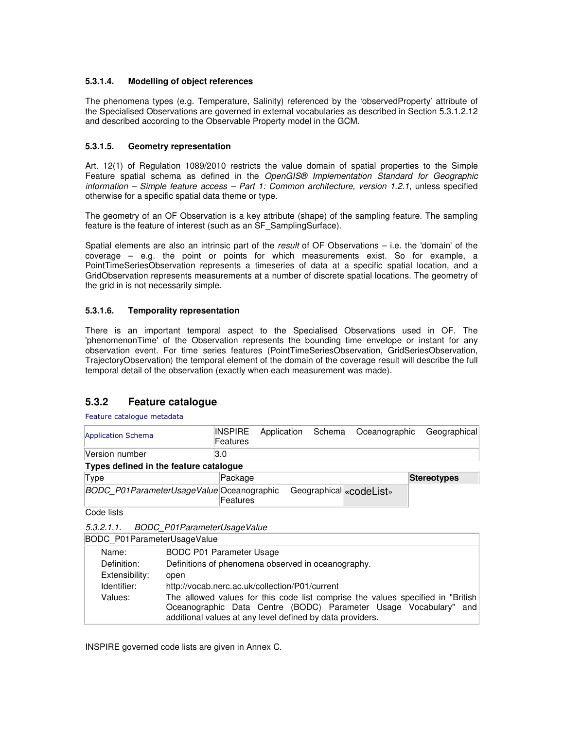# **5.3.1.4. Modelling of object references**

The phenomena types (e.g. Temperature, Salinity) referenced by the 'observedProperty' attribute of the Specialised Observations are governed in external vocabularies as described in Section 5.3.1.2.12 and described according to the Observable Property model in the GCM.

# **5.3.1.5. Geometry representation**

Art. 12(1) of Regulation 1089/2010 restricts the value domain of spatial properties to the Simple Feature spatial schema as defined in the OpenGIS® Implementation Standard for Geographic information – Simple feature access – Part 1: Common architecture, version 1.2.1, unless specified otherwise for a specific spatial data theme or type.

The geometry of an OF Observation is a key attribute (shape) of the sampling feature. The sampling feature is the feature of interest (such as an SF\_SamplingSurface).

Spatial elements are also an intrinsic part of the result of OF Observations – i.e. the 'domain' of the coverage – e.g. the point or points for which measurements exist. So for example, a PointTimeSeriesObservation represents a timeseries of data at a specific spatial location, and a GridObservation represents measurements at a number of discrete spatial locations. The geometry of the grid in is not necessarily simple.

# **5.3.1.6. Temporality representation**

There is an important temporal aspect to the Specialised Observations used in OF. The 'phenomenonTime' of the Observation represents the bounding time envelope or instant for any observation event. For time series features (PointTimeSeriesObservation, GridSeriesObservation, TrajectoryObservation) the temporal element of the domain of the coverage result will describe the full temporal detail of the observation (exactly when each measurement was made).

# **5.3.2 Feature catalogue**

Feature catalogue metadata

| Application Schema                        | <b>INSPIRE</b><br>Features | Application | Schema | Oceanographic           | Geographical       |
|-------------------------------------------|----------------------------|-------------|--------|-------------------------|--------------------|
| Version number                            | 13.O                       |             |        |                         |                    |
| Types defined in the feature catalogue    |                            |             |        |                         |                    |
| Type                                      | Package                    |             |        |                         | <b>Stereotypes</b> |
| BODC P01ParameterUsageValue Oceanographic | Features                   |             |        | Geographical «codeList» |                    |

Code lists

5.3.2.1.1. BODC\_P01ParameterUsageValue

|                | BODC P01ParameterUsageValue                                                                                                                                                                                      |  |  |  |  |  |  |
|----------------|------------------------------------------------------------------------------------------------------------------------------------------------------------------------------------------------------------------|--|--|--|--|--|--|
| Name:          | <b>BODC P01 Parameter Usage</b>                                                                                                                                                                                  |  |  |  |  |  |  |
| Definition:    | Definitions of phenomena observed in oceanography.                                                                                                                                                               |  |  |  |  |  |  |
| Extensibility: | open                                                                                                                                                                                                             |  |  |  |  |  |  |
| Identifier:    | http://vocab.nerc.ac.uk/collection/P01/current                                                                                                                                                                   |  |  |  |  |  |  |
| Values:        | The allowed values for this code list comprise the values specified in "British<br>Oceanographic Data Centre (BODC) Parameter Usage Vocabulary" and<br>additional values at any level defined by data providers. |  |  |  |  |  |  |

INSPIRE governed code lists are given in Annex C.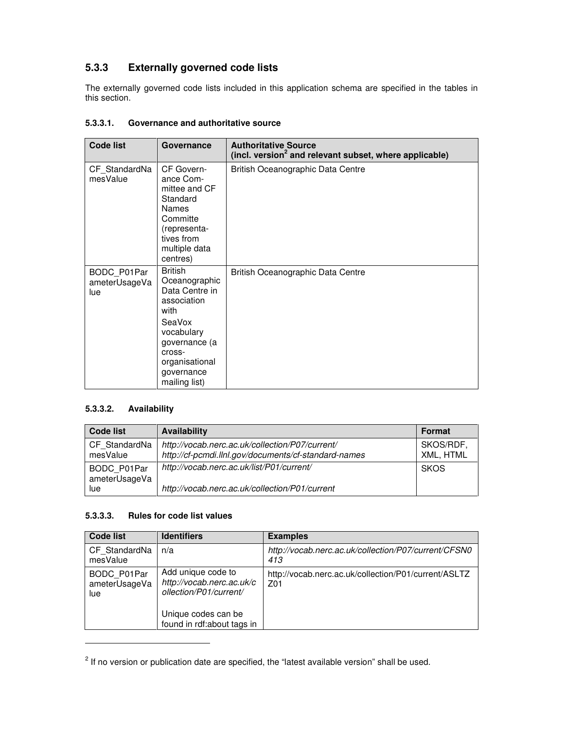# **5.3.3 Externally governed code lists**

The externally governed code lists included in this application schema are specified in the tables in this section.

# **5.3.3.1. Governance and authoritative source**

| <b>Code list</b>                    | Governance                                                                                                                                                                   | <b>Authoritative Source</b><br>(incl. version <sup>2</sup> and relevant subset, where applicable) |
|-------------------------------------|------------------------------------------------------------------------------------------------------------------------------------------------------------------------------|---------------------------------------------------------------------------------------------------|
| CF StandardNa<br>mesValue           | CF Govern-<br>ance Com-<br>mittee and CF<br>Standard<br><b>Names</b><br>Committe<br>(representa-<br>tives from<br>multiple data<br>centres)                                  | British Oceanographic Data Centre                                                                 |
| BODC P01Par<br>ameterUsageVa<br>lue | <b>British</b><br>Oceanographic<br>Data Centre in<br>association<br>with<br>SeaVox<br>vocabulary<br>governance (a<br>cross-<br>organisational<br>governance<br>mailing list) | British Oceanographic Data Centre                                                                 |

# **5.3.3.2. Availability**

 $\overline{a}$ 

| <b>Code list</b>             | Availability                                                                                            | Format                 |
|------------------------------|---------------------------------------------------------------------------------------------------------|------------------------|
| CF StandardNa<br>mesValue    | http://vocab.nerc.ac.uk/collection/P07/current/<br>http://cf-pcmdi.llnl.gov/documents/cf-standard-names | SKOS/RDF,<br>XML, HTML |
| BODC P01Par<br>ameterUsageVa | http://vocab.nerc.ac.uk/list/P01/current/                                                               | <b>SKOS</b>            |
| lue.                         | http://vocab.nerc.ac.uk/collection/P01/current                                                          |                        |

# **5.3.3.3. Rules for code list values**

| <b>Code list</b>                    | <b>Identifiers</b>                                                        | <b>Examples</b>                                             |
|-------------------------------------|---------------------------------------------------------------------------|-------------------------------------------------------------|
| CF StandardNa<br>mesValue           | n/a                                                                       | http://vocab.nerc.ac.uk/collection/P07/current/CFSN0<br>413 |
| BODC P01Par<br>ameterUsageVa<br>lue | Add unique code to<br>http://vocab.nerc.ac.uk/c<br>ollection/P01/current/ | http://vocab.nerc.ac.uk/collection/P01/current/ASLTZ<br>Z01 |
|                                     | Unique codes can be<br>found in rdf:about tags in                         |                                                             |

 $2$  If no version or publication date are specified, the "latest available version" shall be used.